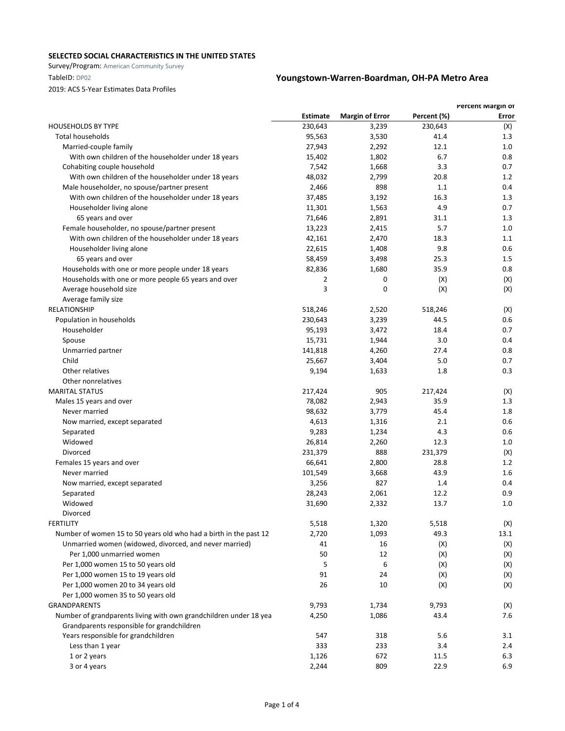Survey/Program: American Community Survey

## 2019: ACS 5-Year Estimates Data Profiles

|                                                                   |                 |                        |             | Percent Margin of |
|-------------------------------------------------------------------|-----------------|------------------------|-------------|-------------------|
|                                                                   | <b>Estimate</b> | <b>Margin of Error</b> | Percent (%) | Error             |
| <b>HOUSEHOLDS BY TYPE</b>                                         | 230,643         | 3,239                  | 230,643     | (X)               |
| <b>Total households</b>                                           | 95,563          | 3,530                  | 41.4        | 1.3               |
| Married-couple family                                             | 27,943          | 2,292                  | 12.1        | 1.0               |
| With own children of the householder under 18 years               | 15,402          | 1,802                  | 6.7         | 0.8               |
| Cohabiting couple household                                       | 7,542           | 1,668                  | 3.3         | 0.7               |
| With own children of the householder under 18 years               | 48,032          | 2,799                  | 20.8        | 1.2               |
| Male householder, no spouse/partner present                       | 2,466           | 898                    | 1.1         | 0.4               |
| With own children of the householder under 18 years               | 37,485          | 3,192                  | 16.3        | 1.3               |
| Householder living alone                                          | 11,301          | 1,563                  | 4.9         | 0.7               |
| 65 years and over                                                 | 71,646          | 2,891                  | 31.1        | 1.3               |
| Female householder, no spouse/partner present                     | 13,223          | 2,415                  | 5.7         | 1.0               |
| With own children of the householder under 18 years               | 42,161          | 2,470                  | 18.3        | 1.1               |
| Householder living alone                                          | 22,615          | 1,408                  | 9.8         | 0.6               |
| 65 years and over                                                 | 58,459          | 3,498                  | 25.3        | 1.5               |
| Households with one or more people under 18 years                 | 82,836          | 1,680                  | 35.9        | 0.8               |
| Households with one or more people 65 years and over              | 2               | 0                      | (X)         | (X)               |
| Average household size                                            | 3               | 0                      | (X)         | (X)               |
| Average family size                                               |                 |                        |             |                   |
| <b>RELATIONSHIP</b>                                               | 518,246         | 2,520                  | 518,246     | (X)               |
| Population in households                                          | 230,643         | 3,239                  | 44.5        | 0.6               |
| Householder                                                       | 95,193          | 3,472                  | 18.4        | 0.7               |
| Spouse                                                            | 15,731          | 1,944                  | 3.0         | 0.4               |
| Unmarried partner                                                 | 141,818         | 4,260                  | 27.4        | 0.8               |
| Child                                                             | 25,667          | 3,404                  | 5.0         | 0.7               |
| Other relatives                                                   | 9,194           | 1,633                  | 1.8         | 0.3               |
| Other nonrelatives                                                |                 |                        |             |                   |
| <b>MARITAL STATUS</b>                                             | 217,424         | 905                    | 217,424     | (X)               |
| Males 15 years and over                                           | 78,082          | 2,943                  | 35.9        | 1.3               |
| Never married                                                     | 98,632          | 3,779                  | 45.4        | 1.8               |
| Now married, except separated                                     | 4,613           | 1,316                  | 2.1         | 0.6               |
| Separated                                                         | 9,283           | 1,234                  | 4.3         | 0.6               |
| Widowed                                                           | 26,814          | 2,260                  | 12.3        | 1.0               |
| Divorced                                                          | 231,379         | 888                    | 231,379     | (X)               |
| Females 15 years and over                                         |                 | 2,800                  |             |                   |
| Never married                                                     | 66,641          |                        | 28.8        | 1.2               |
|                                                                   | 101,549         | 3,668                  | 43.9        | 1.6               |
| Now married, except separated                                     | 3,256           | 827                    | 1.4         | 0.4               |
| Separated                                                         | 28,243          | 2,061                  | 12.2        | 0.9               |
| Widowed                                                           | 31,690          | 2,332                  | 13.7        | 1.0               |
| Divorced                                                          |                 |                        |             |                   |
| <b>FERTILITY</b>                                                  | 5,518           | 1,320                  | 5,518       | (X)               |
| Number of women 15 to 50 years old who had a birth in the past 12 | 2,720           | 1,093                  | 49.3        | 13.1              |
| Unmarried women (widowed, divorced, and never married)            | 41              | 16                     | (X)         | (X)               |
| Per 1,000 unmarried women                                         | 50              | 12                     | (X)         | (X)               |
| Per 1,000 women 15 to 50 years old                                | 5               | 6                      | (X)         | (X)               |
| Per 1,000 women 15 to 19 years old                                | 91              | 24                     | (X)         | (X)               |
| Per 1,000 women 20 to 34 years old                                | 26              | 10                     | (X)         | (X)               |
| Per 1,000 women 35 to 50 years old                                |                 |                        |             |                   |
| <b>GRANDPARENTS</b>                                               | 9,793           | 1,734                  | 9,793       | (X)               |
| Number of grandparents living with own grandchildren under 18 yea | 4,250           | 1,086                  | 43.4        | 7.6               |
| Grandparents responsible for grandchildren                        |                 |                        |             |                   |
| Years responsible for grandchildren                               | 547             | 318                    | 5.6         | 3.1               |
| Less than 1 year                                                  | 333             | 233                    | 3.4         | 2.4               |
| 1 or 2 years                                                      | 1,126           | 672                    | 11.5        | 6.3               |
| 3 or 4 years                                                      | 2,244           | 809                    | 22.9        | 6.9               |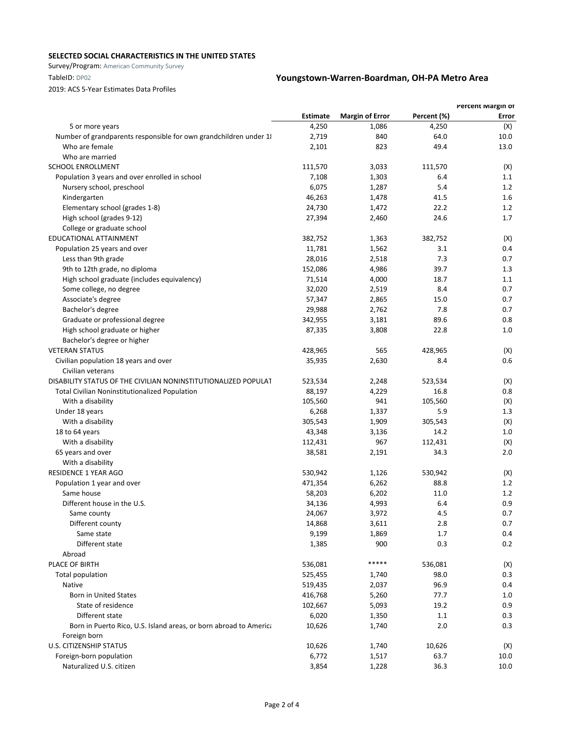Survey/Program: American Community Survey

## 2019: ACS 5-Year Estimates Data Profiles

|                                                                   |                 |                        |             | Percent Margin of |
|-------------------------------------------------------------------|-----------------|------------------------|-------------|-------------------|
|                                                                   | <b>Estimate</b> | <b>Margin of Error</b> | Percent (%) | Error             |
| 5 or more years                                                   | 4,250           | 1,086                  | 4,250       | (X)               |
| Number of grandparents responsible for own grandchildren under 1  | 2,719           | 840                    | 64.0        | 10.0              |
| Who are female                                                    | 2,101           | 823                    | 49.4        | 13.0              |
| Who are married                                                   |                 |                        |             |                   |
| <b>SCHOOL ENROLLMENT</b>                                          | 111,570         | 3,033                  | 111,570     | (X)               |
| Population 3 years and over enrolled in school                    | 7,108           | 1,303                  | 6.4         | 1.1               |
| Nursery school, preschool                                         | 6,075           | 1,287                  | 5.4         | 1.2               |
| Kindergarten                                                      | 46,263          | 1,478                  | 41.5        | 1.6               |
| Elementary school (grades 1-8)                                    | 24,730          | 1,472                  | 22.2        | 1.2               |
| High school (grades 9-12)                                         | 27,394          | 2,460                  | 24.6        | 1.7               |
| College or graduate school                                        |                 |                        |             |                   |
| EDUCATIONAL ATTAINMENT                                            | 382,752         | 1,363                  | 382,752     | (X)               |
| Population 25 years and over                                      | 11,781          | 1,562                  | 3.1         | 0.4               |
| Less than 9th grade                                               | 28,016          | 2,518                  | 7.3         | 0.7               |
| 9th to 12th grade, no diploma                                     | 152,086         | 4,986                  | 39.7        | 1.3               |
| High school graduate (includes equivalency)                       | 71,514          | 4,000                  | 18.7        | 1.1               |
| Some college, no degree                                           | 32,020          | 2,519                  | 8.4         | 0.7               |
| Associate's degree                                                | 57,347          | 2,865                  | 15.0        | 0.7               |
| Bachelor's degree                                                 | 29,988          | 2,762                  | 7.8         | 0.7               |
| Graduate or professional degree                                   | 342,955         | 3,181                  | 89.6        | 0.8               |
| High school graduate or higher                                    | 87,335          | 3,808                  | 22.8        | 1.0               |
| Bachelor's degree or higher                                       |                 |                        |             |                   |
| <b>VETERAN STATUS</b>                                             | 428,965         | 565                    | 428,965     | (X)               |
| Civilian population 18 years and over                             | 35,935          | 2,630                  | 8.4         | 0.6               |
| Civilian veterans                                                 |                 |                        |             |                   |
| DISABILITY STATUS OF THE CIVILIAN NONINSTITUTIONALIZED POPULAT    | 523,534         | 2,248                  | 523,534     | (X)               |
| Total Civilian Noninstitutionalized Population                    | 88,197          | 4,229                  | 16.8        | 0.8               |
| With a disability                                                 | 105,560         | 941                    | 105,560     | (X)               |
| Under 18 years                                                    | 6,268           | 1,337                  | 5.9         | 1.3               |
| With a disability                                                 | 305,543         | 1,909                  | 305,543     | (X)               |
| 18 to 64 years                                                    | 43,348          | 3,136                  | 14.2        | 1.0               |
| With a disability                                                 | 112,431         | 967                    | 112,431     | (X)               |
| 65 years and over                                                 | 38,581          | 2,191                  | 34.3        | 2.0               |
| With a disability                                                 |                 |                        |             |                   |
| <b>RESIDENCE 1 YEAR AGO</b>                                       | 530,942         | 1,126                  | 530,942     | (X)               |
| Population 1 year and over                                        | 471,354         | 6,262                  | 88.8        | 1.2               |
| Same house                                                        | 58,203          | 6,202                  | 11.0        | 1.2               |
| Different house in the U.S.                                       | 34,136          | 4,993                  | 6.4         | 0.9               |
| Same county                                                       | 24,067          | 3,972                  | 4.5         | 0.7               |
| Different county                                                  | 14,868          | 3,611                  | 2.8         | 0.7               |
| Same state                                                        | 9,199           | 1,869                  | 1.7         | 0.4               |
| Different state                                                   | 1,385           | 900                    | 0.3         | 0.2               |
| Abroad                                                            |                 |                        |             |                   |
| PLACE OF BIRTH                                                    | 536,081         | *****                  | 536,081     | (X)               |
| Total population                                                  | 525,455         | 1,740                  | 98.0        | 0.3               |
| Native                                                            | 519,435         | 2,037                  | 96.9        | 0.4               |
| <b>Born in United States</b>                                      | 416,768         | 5,260                  | 77.7        | 1.0               |
| State of residence                                                | 102,667         | 5,093                  | 19.2        | 0.9               |
| Different state                                                   | 6,020           | 1,350                  | 1.1         | 0.3               |
| Born in Puerto Rico, U.S. Island areas, or born abroad to America | 10,626          | 1,740                  | 2.0         | 0.3               |
| Foreign born                                                      |                 |                        |             |                   |
| <b>U.S. CITIZENSHIP STATUS</b>                                    | 10,626          | 1,740                  | 10,626      | (X)               |
| Foreign-born population                                           | 6,772           | 1,517                  | 63.7        | 10.0              |
| Naturalized U.S. citizen                                          | 3,854           | 1,228                  | 36.3        | 10.0              |
|                                                                   |                 |                        |             |                   |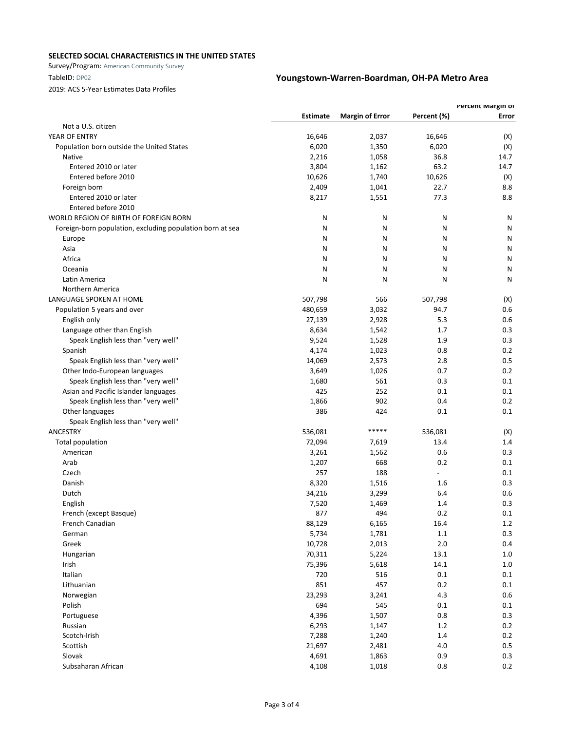Survey/Program: American Community Survey

## 2019: ACS 5-Year Estimates Data Profiles

| <b>Estimate</b><br><b>Margin of Error</b><br>Percent (%)<br>Error<br>Not a U.S. citizen<br>YEAR OF ENTRY<br>16,646<br>2,037<br>16,646<br>(X)<br>6,020<br>6,020<br>(X)<br>Population born outside the United States<br>1,350<br>2,216<br>36.8<br>14.7<br>Native<br>1,058<br>Entered 2010 or later<br>3,804<br>63.2<br>14.7<br>1,162<br>10,626<br>Entered before 2010<br>10,626<br>1,740<br>(X)<br>2,409<br>22.7<br>8.8<br>Foreign born<br>1,041<br>77.3<br>8.8<br>Entered 2010 or later<br>8,217<br>1,551<br>Entered before 2010<br>WORLD REGION OF BIRTH OF FOREIGN BORN<br>N<br>N<br>N<br>N<br>Foreign-born population, excluding population born at sea<br>N<br>N<br>Ν<br>Ν<br>N<br>N<br>N<br>N<br>Europe<br>Asia<br>N<br>Ν<br>N<br>N<br>Africa<br>N<br>Ν<br>Ν<br>N<br>Oceania<br>N<br>N<br>N<br>Ν<br>Latin America<br>N<br>N<br>N<br>Ν<br>Northern America<br>LANGUAGE SPOKEN AT HOME<br>507,798<br>507,798<br>566<br>(X)<br>480,659<br>3,032<br>0.6<br>Population 5 years and over<br>94.7<br>5.3<br>0.6<br>English only<br>27,139<br>2,928<br>Language other than English<br>8,634<br>0.3<br>1,542<br>1.7<br>Speak English less than "very well"<br>9,524<br>1.9<br>0.3<br>1,528<br>Spanish<br>4,174<br>1,023<br>0.8<br>0.2<br>0.5<br>14,069<br>2,573<br>2.8<br>Speak English less than "very well"<br>Other Indo-European languages<br>3,649<br>1,026<br>0.7<br>0.2<br>Speak English less than "very well"<br>561<br>0.3<br>0.1<br>1,680<br>425<br>252<br>Asian and Pacific Islander languages<br>0.1<br>0.1<br>902<br>0.2<br>Speak English less than "very well"<br>1,866<br>0.4<br>386<br>424<br>0.1<br>0.1<br>Other languages<br>Speak English less than "very well"<br>*****<br>ANCESTRY<br>536,081<br>536,081<br>(X)<br>72,094<br>13.4<br>1.4<br>Total population<br>7,619<br>0.6<br>0.3<br>3,261<br>1,562<br>American<br>Arab<br>668<br>0.2<br>0.1<br>1,207<br>257<br>188<br>0.1<br>Czech<br>8,320<br>0.3<br>Danish<br>1,516<br>1.6<br>Dutch<br>34,216<br>3,299<br>6.4<br>0.6<br>7,520<br>1,469<br>0.3<br>English<br>1.4<br>494<br>0.2<br>French (except Basque)<br>877<br>0.1<br>French Canadian<br>88,129<br>6,165<br>16.4<br>$1.2\,$<br>5,734<br>1,781<br>0.3<br>$1.1\,$<br>German<br>$2.0\,$<br>0.4<br>Greek<br>10,728<br>2,013<br>70,311<br>5,224<br>13.1<br>$1.0\,$<br>Hungarian<br>Irish<br>75,396<br>5,618<br>14.1<br>1.0<br>Italian<br>720<br>516<br>$0.1\,$<br>0.1<br>851<br>457<br>Lithuanian<br>0.2<br>0.1<br>23,293<br>4.3<br>0.6<br>Norwegian<br>3,241<br>545<br>Polish<br>694<br>0.1<br>0.1<br>0.3<br>4,396<br>1,507<br>0.8<br>Portuguese<br>0.2<br>6,293<br>1,147<br>$1.2\,$<br>Russian<br>Scotch-Irish<br>7,288<br>1.4<br>0.2<br>1,240<br>$0.5\,$<br>Scottish<br>21,697<br>2,481<br>4.0<br>Slovak<br>4,691<br>0.9<br>0.3<br>1,863 |                    | Percent Margin of |       |         |     |
|----------------------------------------------------------------------------------------------------------------------------------------------------------------------------------------------------------------------------------------------------------------------------------------------------------------------------------------------------------------------------------------------------------------------------------------------------------------------------------------------------------------------------------------------------------------------------------------------------------------------------------------------------------------------------------------------------------------------------------------------------------------------------------------------------------------------------------------------------------------------------------------------------------------------------------------------------------------------------------------------------------------------------------------------------------------------------------------------------------------------------------------------------------------------------------------------------------------------------------------------------------------------------------------------------------------------------------------------------------------------------------------------------------------------------------------------------------------------------------------------------------------------------------------------------------------------------------------------------------------------------------------------------------------------------------------------------------------------------------------------------------------------------------------------------------------------------------------------------------------------------------------------------------------------------------------------------------------------------------------------------------------------------------------------------------------------------------------------------------------------------------------------------------------------------------------------------------------------------------------------------------------------------------------------------------------------------------------------------------------------------------------------------------------------------------------------------------------------------------------------------------------------------------------------------------------------------------------------------------------------------------------------------------------------------------------------------------------------------------------------------------------|--------------------|-------------------|-------|---------|-----|
|                                                                                                                                                                                                                                                                                                                                                                                                                                                                                                                                                                                                                                                                                                                                                                                                                                                                                                                                                                                                                                                                                                                                                                                                                                                                                                                                                                                                                                                                                                                                                                                                                                                                                                                                                                                                                                                                                                                                                                                                                                                                                                                                                                                                                                                                                                                                                                                                                                                                                                                                                                                                                                                                                                                                                                |                    |                   |       |         |     |
|                                                                                                                                                                                                                                                                                                                                                                                                                                                                                                                                                                                                                                                                                                                                                                                                                                                                                                                                                                                                                                                                                                                                                                                                                                                                                                                                                                                                                                                                                                                                                                                                                                                                                                                                                                                                                                                                                                                                                                                                                                                                                                                                                                                                                                                                                                                                                                                                                                                                                                                                                                                                                                                                                                                                                                |                    |                   |       |         |     |
|                                                                                                                                                                                                                                                                                                                                                                                                                                                                                                                                                                                                                                                                                                                                                                                                                                                                                                                                                                                                                                                                                                                                                                                                                                                                                                                                                                                                                                                                                                                                                                                                                                                                                                                                                                                                                                                                                                                                                                                                                                                                                                                                                                                                                                                                                                                                                                                                                                                                                                                                                                                                                                                                                                                                                                |                    |                   |       |         |     |
|                                                                                                                                                                                                                                                                                                                                                                                                                                                                                                                                                                                                                                                                                                                                                                                                                                                                                                                                                                                                                                                                                                                                                                                                                                                                                                                                                                                                                                                                                                                                                                                                                                                                                                                                                                                                                                                                                                                                                                                                                                                                                                                                                                                                                                                                                                                                                                                                                                                                                                                                                                                                                                                                                                                                                                |                    |                   |       |         |     |
|                                                                                                                                                                                                                                                                                                                                                                                                                                                                                                                                                                                                                                                                                                                                                                                                                                                                                                                                                                                                                                                                                                                                                                                                                                                                                                                                                                                                                                                                                                                                                                                                                                                                                                                                                                                                                                                                                                                                                                                                                                                                                                                                                                                                                                                                                                                                                                                                                                                                                                                                                                                                                                                                                                                                                                |                    |                   |       |         |     |
|                                                                                                                                                                                                                                                                                                                                                                                                                                                                                                                                                                                                                                                                                                                                                                                                                                                                                                                                                                                                                                                                                                                                                                                                                                                                                                                                                                                                                                                                                                                                                                                                                                                                                                                                                                                                                                                                                                                                                                                                                                                                                                                                                                                                                                                                                                                                                                                                                                                                                                                                                                                                                                                                                                                                                                |                    |                   |       |         |     |
|                                                                                                                                                                                                                                                                                                                                                                                                                                                                                                                                                                                                                                                                                                                                                                                                                                                                                                                                                                                                                                                                                                                                                                                                                                                                                                                                                                                                                                                                                                                                                                                                                                                                                                                                                                                                                                                                                                                                                                                                                                                                                                                                                                                                                                                                                                                                                                                                                                                                                                                                                                                                                                                                                                                                                                |                    |                   |       |         |     |
|                                                                                                                                                                                                                                                                                                                                                                                                                                                                                                                                                                                                                                                                                                                                                                                                                                                                                                                                                                                                                                                                                                                                                                                                                                                                                                                                                                                                                                                                                                                                                                                                                                                                                                                                                                                                                                                                                                                                                                                                                                                                                                                                                                                                                                                                                                                                                                                                                                                                                                                                                                                                                                                                                                                                                                |                    |                   |       |         |     |
|                                                                                                                                                                                                                                                                                                                                                                                                                                                                                                                                                                                                                                                                                                                                                                                                                                                                                                                                                                                                                                                                                                                                                                                                                                                                                                                                                                                                                                                                                                                                                                                                                                                                                                                                                                                                                                                                                                                                                                                                                                                                                                                                                                                                                                                                                                                                                                                                                                                                                                                                                                                                                                                                                                                                                                |                    |                   |       |         |     |
|                                                                                                                                                                                                                                                                                                                                                                                                                                                                                                                                                                                                                                                                                                                                                                                                                                                                                                                                                                                                                                                                                                                                                                                                                                                                                                                                                                                                                                                                                                                                                                                                                                                                                                                                                                                                                                                                                                                                                                                                                                                                                                                                                                                                                                                                                                                                                                                                                                                                                                                                                                                                                                                                                                                                                                |                    |                   |       |         |     |
|                                                                                                                                                                                                                                                                                                                                                                                                                                                                                                                                                                                                                                                                                                                                                                                                                                                                                                                                                                                                                                                                                                                                                                                                                                                                                                                                                                                                                                                                                                                                                                                                                                                                                                                                                                                                                                                                                                                                                                                                                                                                                                                                                                                                                                                                                                                                                                                                                                                                                                                                                                                                                                                                                                                                                                |                    |                   |       |         |     |
|                                                                                                                                                                                                                                                                                                                                                                                                                                                                                                                                                                                                                                                                                                                                                                                                                                                                                                                                                                                                                                                                                                                                                                                                                                                                                                                                                                                                                                                                                                                                                                                                                                                                                                                                                                                                                                                                                                                                                                                                                                                                                                                                                                                                                                                                                                                                                                                                                                                                                                                                                                                                                                                                                                                                                                |                    |                   |       |         |     |
|                                                                                                                                                                                                                                                                                                                                                                                                                                                                                                                                                                                                                                                                                                                                                                                                                                                                                                                                                                                                                                                                                                                                                                                                                                                                                                                                                                                                                                                                                                                                                                                                                                                                                                                                                                                                                                                                                                                                                                                                                                                                                                                                                                                                                                                                                                                                                                                                                                                                                                                                                                                                                                                                                                                                                                |                    |                   |       |         |     |
|                                                                                                                                                                                                                                                                                                                                                                                                                                                                                                                                                                                                                                                                                                                                                                                                                                                                                                                                                                                                                                                                                                                                                                                                                                                                                                                                                                                                                                                                                                                                                                                                                                                                                                                                                                                                                                                                                                                                                                                                                                                                                                                                                                                                                                                                                                                                                                                                                                                                                                                                                                                                                                                                                                                                                                |                    |                   |       |         |     |
|                                                                                                                                                                                                                                                                                                                                                                                                                                                                                                                                                                                                                                                                                                                                                                                                                                                                                                                                                                                                                                                                                                                                                                                                                                                                                                                                                                                                                                                                                                                                                                                                                                                                                                                                                                                                                                                                                                                                                                                                                                                                                                                                                                                                                                                                                                                                                                                                                                                                                                                                                                                                                                                                                                                                                                |                    |                   |       |         |     |
|                                                                                                                                                                                                                                                                                                                                                                                                                                                                                                                                                                                                                                                                                                                                                                                                                                                                                                                                                                                                                                                                                                                                                                                                                                                                                                                                                                                                                                                                                                                                                                                                                                                                                                                                                                                                                                                                                                                                                                                                                                                                                                                                                                                                                                                                                                                                                                                                                                                                                                                                                                                                                                                                                                                                                                |                    |                   |       |         |     |
|                                                                                                                                                                                                                                                                                                                                                                                                                                                                                                                                                                                                                                                                                                                                                                                                                                                                                                                                                                                                                                                                                                                                                                                                                                                                                                                                                                                                                                                                                                                                                                                                                                                                                                                                                                                                                                                                                                                                                                                                                                                                                                                                                                                                                                                                                                                                                                                                                                                                                                                                                                                                                                                                                                                                                                |                    |                   |       |         |     |
|                                                                                                                                                                                                                                                                                                                                                                                                                                                                                                                                                                                                                                                                                                                                                                                                                                                                                                                                                                                                                                                                                                                                                                                                                                                                                                                                                                                                                                                                                                                                                                                                                                                                                                                                                                                                                                                                                                                                                                                                                                                                                                                                                                                                                                                                                                                                                                                                                                                                                                                                                                                                                                                                                                                                                                |                    |                   |       |         |     |
|                                                                                                                                                                                                                                                                                                                                                                                                                                                                                                                                                                                                                                                                                                                                                                                                                                                                                                                                                                                                                                                                                                                                                                                                                                                                                                                                                                                                                                                                                                                                                                                                                                                                                                                                                                                                                                                                                                                                                                                                                                                                                                                                                                                                                                                                                                                                                                                                                                                                                                                                                                                                                                                                                                                                                                |                    |                   |       |         |     |
|                                                                                                                                                                                                                                                                                                                                                                                                                                                                                                                                                                                                                                                                                                                                                                                                                                                                                                                                                                                                                                                                                                                                                                                                                                                                                                                                                                                                                                                                                                                                                                                                                                                                                                                                                                                                                                                                                                                                                                                                                                                                                                                                                                                                                                                                                                                                                                                                                                                                                                                                                                                                                                                                                                                                                                |                    |                   |       |         |     |
|                                                                                                                                                                                                                                                                                                                                                                                                                                                                                                                                                                                                                                                                                                                                                                                                                                                                                                                                                                                                                                                                                                                                                                                                                                                                                                                                                                                                                                                                                                                                                                                                                                                                                                                                                                                                                                                                                                                                                                                                                                                                                                                                                                                                                                                                                                                                                                                                                                                                                                                                                                                                                                                                                                                                                                |                    |                   |       |         |     |
|                                                                                                                                                                                                                                                                                                                                                                                                                                                                                                                                                                                                                                                                                                                                                                                                                                                                                                                                                                                                                                                                                                                                                                                                                                                                                                                                                                                                                                                                                                                                                                                                                                                                                                                                                                                                                                                                                                                                                                                                                                                                                                                                                                                                                                                                                                                                                                                                                                                                                                                                                                                                                                                                                                                                                                |                    |                   |       |         |     |
|                                                                                                                                                                                                                                                                                                                                                                                                                                                                                                                                                                                                                                                                                                                                                                                                                                                                                                                                                                                                                                                                                                                                                                                                                                                                                                                                                                                                                                                                                                                                                                                                                                                                                                                                                                                                                                                                                                                                                                                                                                                                                                                                                                                                                                                                                                                                                                                                                                                                                                                                                                                                                                                                                                                                                                |                    |                   |       |         |     |
|                                                                                                                                                                                                                                                                                                                                                                                                                                                                                                                                                                                                                                                                                                                                                                                                                                                                                                                                                                                                                                                                                                                                                                                                                                                                                                                                                                                                                                                                                                                                                                                                                                                                                                                                                                                                                                                                                                                                                                                                                                                                                                                                                                                                                                                                                                                                                                                                                                                                                                                                                                                                                                                                                                                                                                |                    |                   |       |         |     |
|                                                                                                                                                                                                                                                                                                                                                                                                                                                                                                                                                                                                                                                                                                                                                                                                                                                                                                                                                                                                                                                                                                                                                                                                                                                                                                                                                                                                                                                                                                                                                                                                                                                                                                                                                                                                                                                                                                                                                                                                                                                                                                                                                                                                                                                                                                                                                                                                                                                                                                                                                                                                                                                                                                                                                                |                    |                   |       |         |     |
|                                                                                                                                                                                                                                                                                                                                                                                                                                                                                                                                                                                                                                                                                                                                                                                                                                                                                                                                                                                                                                                                                                                                                                                                                                                                                                                                                                                                                                                                                                                                                                                                                                                                                                                                                                                                                                                                                                                                                                                                                                                                                                                                                                                                                                                                                                                                                                                                                                                                                                                                                                                                                                                                                                                                                                |                    |                   |       |         |     |
|                                                                                                                                                                                                                                                                                                                                                                                                                                                                                                                                                                                                                                                                                                                                                                                                                                                                                                                                                                                                                                                                                                                                                                                                                                                                                                                                                                                                                                                                                                                                                                                                                                                                                                                                                                                                                                                                                                                                                                                                                                                                                                                                                                                                                                                                                                                                                                                                                                                                                                                                                                                                                                                                                                                                                                |                    |                   |       |         |     |
|                                                                                                                                                                                                                                                                                                                                                                                                                                                                                                                                                                                                                                                                                                                                                                                                                                                                                                                                                                                                                                                                                                                                                                                                                                                                                                                                                                                                                                                                                                                                                                                                                                                                                                                                                                                                                                                                                                                                                                                                                                                                                                                                                                                                                                                                                                                                                                                                                                                                                                                                                                                                                                                                                                                                                                |                    |                   |       |         |     |
|                                                                                                                                                                                                                                                                                                                                                                                                                                                                                                                                                                                                                                                                                                                                                                                                                                                                                                                                                                                                                                                                                                                                                                                                                                                                                                                                                                                                                                                                                                                                                                                                                                                                                                                                                                                                                                                                                                                                                                                                                                                                                                                                                                                                                                                                                                                                                                                                                                                                                                                                                                                                                                                                                                                                                                |                    |                   |       |         |     |
|                                                                                                                                                                                                                                                                                                                                                                                                                                                                                                                                                                                                                                                                                                                                                                                                                                                                                                                                                                                                                                                                                                                                                                                                                                                                                                                                                                                                                                                                                                                                                                                                                                                                                                                                                                                                                                                                                                                                                                                                                                                                                                                                                                                                                                                                                                                                                                                                                                                                                                                                                                                                                                                                                                                                                                |                    |                   |       |         |     |
|                                                                                                                                                                                                                                                                                                                                                                                                                                                                                                                                                                                                                                                                                                                                                                                                                                                                                                                                                                                                                                                                                                                                                                                                                                                                                                                                                                                                                                                                                                                                                                                                                                                                                                                                                                                                                                                                                                                                                                                                                                                                                                                                                                                                                                                                                                                                                                                                                                                                                                                                                                                                                                                                                                                                                                |                    |                   |       |         |     |
|                                                                                                                                                                                                                                                                                                                                                                                                                                                                                                                                                                                                                                                                                                                                                                                                                                                                                                                                                                                                                                                                                                                                                                                                                                                                                                                                                                                                                                                                                                                                                                                                                                                                                                                                                                                                                                                                                                                                                                                                                                                                                                                                                                                                                                                                                                                                                                                                                                                                                                                                                                                                                                                                                                                                                                |                    |                   |       |         |     |
|                                                                                                                                                                                                                                                                                                                                                                                                                                                                                                                                                                                                                                                                                                                                                                                                                                                                                                                                                                                                                                                                                                                                                                                                                                                                                                                                                                                                                                                                                                                                                                                                                                                                                                                                                                                                                                                                                                                                                                                                                                                                                                                                                                                                                                                                                                                                                                                                                                                                                                                                                                                                                                                                                                                                                                |                    |                   |       |         |     |
|                                                                                                                                                                                                                                                                                                                                                                                                                                                                                                                                                                                                                                                                                                                                                                                                                                                                                                                                                                                                                                                                                                                                                                                                                                                                                                                                                                                                                                                                                                                                                                                                                                                                                                                                                                                                                                                                                                                                                                                                                                                                                                                                                                                                                                                                                                                                                                                                                                                                                                                                                                                                                                                                                                                                                                |                    |                   |       |         |     |
|                                                                                                                                                                                                                                                                                                                                                                                                                                                                                                                                                                                                                                                                                                                                                                                                                                                                                                                                                                                                                                                                                                                                                                                                                                                                                                                                                                                                                                                                                                                                                                                                                                                                                                                                                                                                                                                                                                                                                                                                                                                                                                                                                                                                                                                                                                                                                                                                                                                                                                                                                                                                                                                                                                                                                                |                    |                   |       |         |     |
|                                                                                                                                                                                                                                                                                                                                                                                                                                                                                                                                                                                                                                                                                                                                                                                                                                                                                                                                                                                                                                                                                                                                                                                                                                                                                                                                                                                                                                                                                                                                                                                                                                                                                                                                                                                                                                                                                                                                                                                                                                                                                                                                                                                                                                                                                                                                                                                                                                                                                                                                                                                                                                                                                                                                                                |                    |                   |       |         |     |
|                                                                                                                                                                                                                                                                                                                                                                                                                                                                                                                                                                                                                                                                                                                                                                                                                                                                                                                                                                                                                                                                                                                                                                                                                                                                                                                                                                                                                                                                                                                                                                                                                                                                                                                                                                                                                                                                                                                                                                                                                                                                                                                                                                                                                                                                                                                                                                                                                                                                                                                                                                                                                                                                                                                                                                |                    |                   |       |         |     |
|                                                                                                                                                                                                                                                                                                                                                                                                                                                                                                                                                                                                                                                                                                                                                                                                                                                                                                                                                                                                                                                                                                                                                                                                                                                                                                                                                                                                                                                                                                                                                                                                                                                                                                                                                                                                                                                                                                                                                                                                                                                                                                                                                                                                                                                                                                                                                                                                                                                                                                                                                                                                                                                                                                                                                                |                    |                   |       |         |     |
|                                                                                                                                                                                                                                                                                                                                                                                                                                                                                                                                                                                                                                                                                                                                                                                                                                                                                                                                                                                                                                                                                                                                                                                                                                                                                                                                                                                                                                                                                                                                                                                                                                                                                                                                                                                                                                                                                                                                                                                                                                                                                                                                                                                                                                                                                                                                                                                                                                                                                                                                                                                                                                                                                                                                                                |                    |                   |       |         |     |
|                                                                                                                                                                                                                                                                                                                                                                                                                                                                                                                                                                                                                                                                                                                                                                                                                                                                                                                                                                                                                                                                                                                                                                                                                                                                                                                                                                                                                                                                                                                                                                                                                                                                                                                                                                                                                                                                                                                                                                                                                                                                                                                                                                                                                                                                                                                                                                                                                                                                                                                                                                                                                                                                                                                                                                |                    |                   |       |         |     |
|                                                                                                                                                                                                                                                                                                                                                                                                                                                                                                                                                                                                                                                                                                                                                                                                                                                                                                                                                                                                                                                                                                                                                                                                                                                                                                                                                                                                                                                                                                                                                                                                                                                                                                                                                                                                                                                                                                                                                                                                                                                                                                                                                                                                                                                                                                                                                                                                                                                                                                                                                                                                                                                                                                                                                                |                    |                   |       |         |     |
|                                                                                                                                                                                                                                                                                                                                                                                                                                                                                                                                                                                                                                                                                                                                                                                                                                                                                                                                                                                                                                                                                                                                                                                                                                                                                                                                                                                                                                                                                                                                                                                                                                                                                                                                                                                                                                                                                                                                                                                                                                                                                                                                                                                                                                                                                                                                                                                                                                                                                                                                                                                                                                                                                                                                                                |                    |                   |       |         |     |
|                                                                                                                                                                                                                                                                                                                                                                                                                                                                                                                                                                                                                                                                                                                                                                                                                                                                                                                                                                                                                                                                                                                                                                                                                                                                                                                                                                                                                                                                                                                                                                                                                                                                                                                                                                                                                                                                                                                                                                                                                                                                                                                                                                                                                                                                                                                                                                                                                                                                                                                                                                                                                                                                                                                                                                |                    |                   |       |         |     |
|                                                                                                                                                                                                                                                                                                                                                                                                                                                                                                                                                                                                                                                                                                                                                                                                                                                                                                                                                                                                                                                                                                                                                                                                                                                                                                                                                                                                                                                                                                                                                                                                                                                                                                                                                                                                                                                                                                                                                                                                                                                                                                                                                                                                                                                                                                                                                                                                                                                                                                                                                                                                                                                                                                                                                                |                    |                   |       |         |     |
|                                                                                                                                                                                                                                                                                                                                                                                                                                                                                                                                                                                                                                                                                                                                                                                                                                                                                                                                                                                                                                                                                                                                                                                                                                                                                                                                                                                                                                                                                                                                                                                                                                                                                                                                                                                                                                                                                                                                                                                                                                                                                                                                                                                                                                                                                                                                                                                                                                                                                                                                                                                                                                                                                                                                                                |                    |                   |       |         |     |
|                                                                                                                                                                                                                                                                                                                                                                                                                                                                                                                                                                                                                                                                                                                                                                                                                                                                                                                                                                                                                                                                                                                                                                                                                                                                                                                                                                                                                                                                                                                                                                                                                                                                                                                                                                                                                                                                                                                                                                                                                                                                                                                                                                                                                                                                                                                                                                                                                                                                                                                                                                                                                                                                                                                                                                |                    |                   |       |         |     |
|                                                                                                                                                                                                                                                                                                                                                                                                                                                                                                                                                                                                                                                                                                                                                                                                                                                                                                                                                                                                                                                                                                                                                                                                                                                                                                                                                                                                                                                                                                                                                                                                                                                                                                                                                                                                                                                                                                                                                                                                                                                                                                                                                                                                                                                                                                                                                                                                                                                                                                                                                                                                                                                                                                                                                                |                    |                   |       |         |     |
|                                                                                                                                                                                                                                                                                                                                                                                                                                                                                                                                                                                                                                                                                                                                                                                                                                                                                                                                                                                                                                                                                                                                                                                                                                                                                                                                                                                                                                                                                                                                                                                                                                                                                                                                                                                                                                                                                                                                                                                                                                                                                                                                                                                                                                                                                                                                                                                                                                                                                                                                                                                                                                                                                                                                                                |                    |                   |       |         |     |
|                                                                                                                                                                                                                                                                                                                                                                                                                                                                                                                                                                                                                                                                                                                                                                                                                                                                                                                                                                                                                                                                                                                                                                                                                                                                                                                                                                                                                                                                                                                                                                                                                                                                                                                                                                                                                                                                                                                                                                                                                                                                                                                                                                                                                                                                                                                                                                                                                                                                                                                                                                                                                                                                                                                                                                |                    |                   |       |         |     |
|                                                                                                                                                                                                                                                                                                                                                                                                                                                                                                                                                                                                                                                                                                                                                                                                                                                                                                                                                                                                                                                                                                                                                                                                                                                                                                                                                                                                                                                                                                                                                                                                                                                                                                                                                                                                                                                                                                                                                                                                                                                                                                                                                                                                                                                                                                                                                                                                                                                                                                                                                                                                                                                                                                                                                                |                    |                   |       |         |     |
|                                                                                                                                                                                                                                                                                                                                                                                                                                                                                                                                                                                                                                                                                                                                                                                                                                                                                                                                                                                                                                                                                                                                                                                                                                                                                                                                                                                                                                                                                                                                                                                                                                                                                                                                                                                                                                                                                                                                                                                                                                                                                                                                                                                                                                                                                                                                                                                                                                                                                                                                                                                                                                                                                                                                                                |                    |                   |       |         |     |
|                                                                                                                                                                                                                                                                                                                                                                                                                                                                                                                                                                                                                                                                                                                                                                                                                                                                                                                                                                                                                                                                                                                                                                                                                                                                                                                                                                                                                                                                                                                                                                                                                                                                                                                                                                                                                                                                                                                                                                                                                                                                                                                                                                                                                                                                                                                                                                                                                                                                                                                                                                                                                                                                                                                                                                |                    |                   |       |         |     |
|                                                                                                                                                                                                                                                                                                                                                                                                                                                                                                                                                                                                                                                                                                                                                                                                                                                                                                                                                                                                                                                                                                                                                                                                                                                                                                                                                                                                                                                                                                                                                                                                                                                                                                                                                                                                                                                                                                                                                                                                                                                                                                                                                                                                                                                                                                                                                                                                                                                                                                                                                                                                                                                                                                                                                                |                    |                   |       |         |     |
|                                                                                                                                                                                                                                                                                                                                                                                                                                                                                                                                                                                                                                                                                                                                                                                                                                                                                                                                                                                                                                                                                                                                                                                                                                                                                                                                                                                                                                                                                                                                                                                                                                                                                                                                                                                                                                                                                                                                                                                                                                                                                                                                                                                                                                                                                                                                                                                                                                                                                                                                                                                                                                                                                                                                                                |                    |                   |       |         |     |
|                                                                                                                                                                                                                                                                                                                                                                                                                                                                                                                                                                                                                                                                                                                                                                                                                                                                                                                                                                                                                                                                                                                                                                                                                                                                                                                                                                                                                                                                                                                                                                                                                                                                                                                                                                                                                                                                                                                                                                                                                                                                                                                                                                                                                                                                                                                                                                                                                                                                                                                                                                                                                                                                                                                                                                | Subsaharan African | 4,108             | 1,018 | $0.8\,$ | 0.2 |